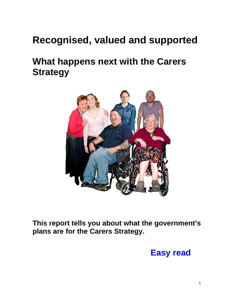# **Recognised, valued and supported**

## **What happens next with the Carers Strategy**



**This report tells you about what the government's plans are for the Carers Strategy.** 

## **Easy read**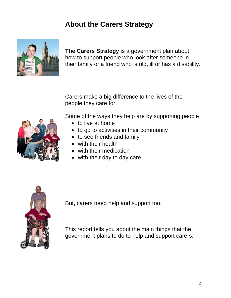### **About the Carers Strategy**



**The Carers Strategy** is a government plan about how to support people who look after someone in their family or a friend who is old, ill or has a disability.

Carers make a big difference to the lives of the people they care for.

Some of the ways they help are by supporting people

- to live at home
- to go to activities in their community
- to see friends and family
- with their health
- with their medication
- with their day to day care.



But, carers need help and support too.

This report tells you about the main things that the government plans to do to help and support carers.

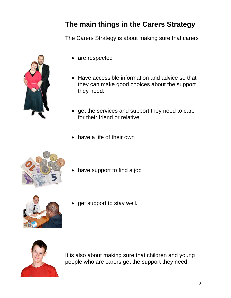## **The main things in the Carers Strategy**

The Carers Strategy is about making sure that carers



- are respected
- Have accessible information and advice so that they can make good choices about the support they need.
- get the services and support they need to care for their friend or relative.
- have a life of their own



have support to find a job



get support to stay well.



It is also about making sure that children and young people who are carers get the support they need.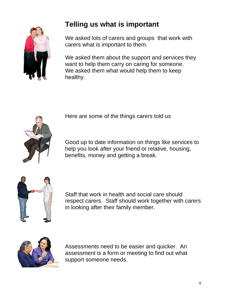

### **Telling us what is important**

We asked lots of carers and groups that work with carers what is important to them.

We asked them about the support and services they want to help them carry on caring for someone. We asked them what would help them to keep healthy.





Good up to date information on things like services to help you look after your friend or relative, housing, benefits, money and getting a break.



Staff that work in health and social care should respect carers. Staff should work together with carers in looking after their family member.



Assessments need to be easier and quicker. An assessment is a form or meeting to find out what support someone needs.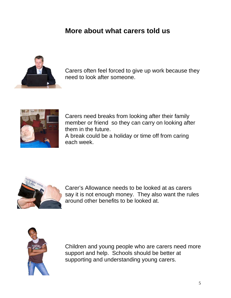#### **More about what carers told us**



Carers often feel forced to give up work because they need to look after someone.



Carers need breaks from looking after their family member or friend so they can carry on looking after them in the future.

A break could be a holiday or time off from caring each week.



Carer's Allowance needs to be looked at as carers say it is not enough money. They also want the rules around other benefits to be looked at.



Children and young people who are carers need more support and help. Schools should be better at supporting and understanding young carers.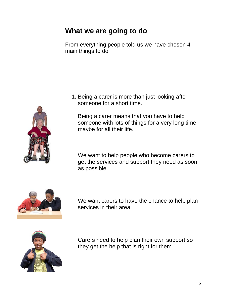#### **What we are going to do**

From everything people told us we have chosen 4 main things to do

**1.** Being a carer is more than just looking after someone for a short time.

Being a carer means that you have to help someone with lots of things for a very long time, maybe for all their life.

We want to help people who become carers to get the services and support they need as soon as possible.



We want carers to have the chance to help plan services in their area.



Carers need to help plan their own support so they get the help that is right for them.

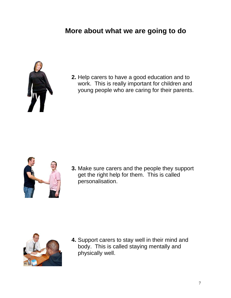### **More about what we are going to do**



**2.** Help carers to have a good education and to work. This is really important for children and young people who are caring for their parents.



**3.** Make sure carers and the people they support get the right help for them. This is called personalisation.



**4.** Support carers to stay well in their mind and body. This is called staying mentally and physically well.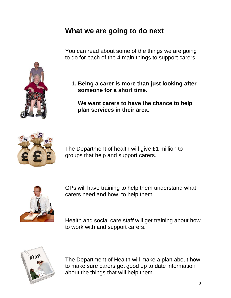#### **What we are going to do next**

You can read about some of the things we are going to do for each of the 4 main things to support carers.

**1. Being a carer is more than just looking after someone for a short time.** 

**We want carers to have the chance to help plan services in their area.** 



The Department of health will give £1 million to groups that help and support carers.



GPs will have training to help them understand what carers need and how to help them.

Health and social care staff will get training about how to work with and support carers.



The Department of Health will make a plan about how to make sure carers get good up to date information about the things that will help them.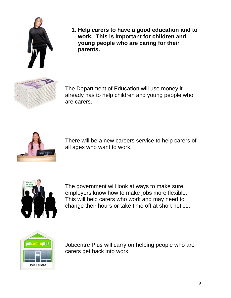

**1. Help carers to have a good education and to work. This is important for children and young people who are caring for their parents.** 



The Department of Education will use money it already has to help children and young people who are carers.



There will be a new careers service to help carers of all ages who want to work.



The government will look at ways to make sure employers know how to make jobs more flexible. This will help carers who work and may need to change their hours or take time off at short notice.



Jobcentre Plus will carry on helping people who are carers get back into work.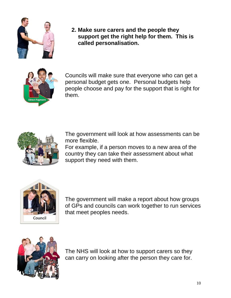

**2. Make sure carers and the people they support get the right help for them. This is called personalisation.** 



Councils will make sure that everyone who can get a personal budget gets one. Personal budgets help people choose and pay for the support that is right for them.



The government will look at how assessments can be more flexible.

For example, if a person moves to a new area of the country they can take their assessment about what support they need with them.



The government will make a report about how groups of GPs and councils can work together to run services that meet peoples needs.



The NHS will look at how to support carers so they can carry on looking after the person they care for.